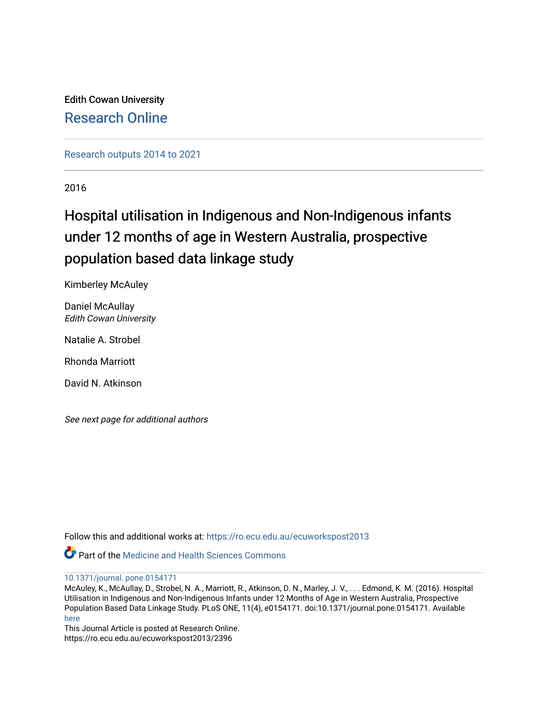Edith Cowan University [Research Online](https://ro.ecu.edu.au/) 

[Research outputs 2014 to 2021](https://ro.ecu.edu.au/ecuworkspost2013) 

2016

# Hospital utilisation in Indigenous and Non-Indigenous infants under 12 months of age in Western Australia, prospective population based data linkage study

Kimberley McAuley

Daniel McAullay Edith Cowan University

Natalie A. Strobel

Rhonda Marriott

David N. Atkinson

See next page for additional authors

Follow this and additional works at: [https://ro.ecu.edu.au/ecuworkspost2013](https://ro.ecu.edu.au/ecuworkspost2013?utm_source=ro.ecu.edu.au%2Fecuworkspost2013%2F2396&utm_medium=PDF&utm_campaign=PDFCoverPages) 

**Part of the Medicine and Health Sciences Commons** 

[10.1371/journal. pone.0154171](http://dx.doi.org/10.1371/journal.%20pone.0154171) 

McAuley, K., McAullay, D., Strobel, N. A., Marriott, R., Atkinson, D. N., Marley, J. V., . . . Edmond, K. M. (2016). Hospital Utilisation in Indigenous and Non-Indigenous Infants under 12 Months of Age in Western Australia, Prospective Population Based Data Linkage Study. PLoS ONE, 11(4), e0154171. doi:10.1371/journal.pone.0154171. Available [here](http://dx.doi.org/10.1371/journal.pone.0154171)

This Journal Article is posted at Research Online. https://ro.ecu.edu.au/ecuworkspost2013/2396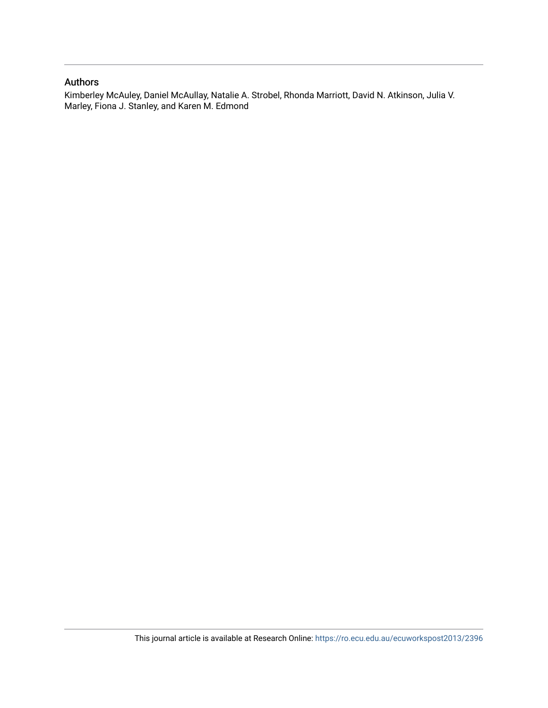#### Authors

Kimberley McAuley, Daniel McAullay, Natalie A. Strobel, Rhonda Marriott, David N. Atkinson, Julia V. Marley, Fiona J. Stanley, and Karen M. Edmond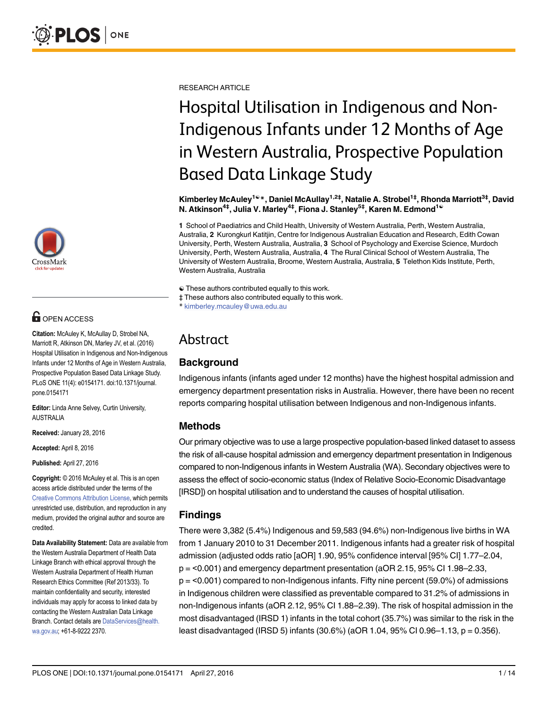

## **G** OPEN ACCESS

Citation: McAuley K, McAullay D, Strobel NA, Marriott R, Atkinson DN, Marley JV, et al. (2016) Hospital Utilisation in Indigenous and Non-Indigenous Infants under 12 Months of Age in Western Australia, Prospective Population Based Data Linkage Study. PLoS ONE 11(4): e0154171. doi:10.1371/journal. pone.0154171

Editor: Linda Anne Selvey, Curtin University, AUSTRALIA

Received: January 28, 2016

Accepted: April 8, 2016

Published: April 27, 2016

Copyright: © 2016 McAuley et al. This is an open access article distributed under the terms of the [Creative Commons Attribution License,](http://creativecommons.org/licenses/by/4.0/) which permits unrestricted use, distribution, and reproduction in any medium, provided the original author and source are credited.

Data Availability Statement: Data are available from the Western Australia Department of Health Data Linkage Branch with ethical approval through the Western Australia Department of Health Human Research Ethics Committee (Ref 2013/33). To maintain confidentiality and security, interested individuals may apply for access to linked data by contacting the Western Australian Data Linkage Branch. Contact details are DataServices@health. wa.gov.au; +61-8-9222 2370.

RESEARCH ARTICLE

# Hospital Utilisation in Indigenous and Non-Indigenous Infants under 12 Months of Age in Western Australia, Prospective Population Based Data Linkage Study

Kimberley McAuley<sup>1©</sup>\*, Daniel McAullay<sup>1,2‡</sup>, Natalie A. Strobel<sup>1‡</sup>, Rhonda Marriott<sup>3‡</sup>, David N. Atkinson<sup>4‡</sup>, Julia V. Marley<sup>4‡</sup>, Fiona J. Stanley<sup>5‡</sup>, Karen M. Edmond<sup>1©</sup>

1 School of Paediatrics and Child Health, University of Western Australia, Perth, Western Australia, Australia, 2 Kurongkurl Katitjin, Centre for Indigenous Australian Education and Research, Edith Cowan University, Perth, Western Australia, Australia, 3 School of Psychology and Exercise Science, Murdoch University, Perth, Western Australia, Australia, 4 The Rural Clinical School of Western Australia, The University of Western Australia, Broome, Western Australia, Australia, 5 Telethon Kids Institute, Perth, Western Australia, Australia

☯ These authors contributed equally to this work.

‡ These authors also contributed equally to this work.

\* kimberley.mcauley@uwa.edu.au

# Abstract

## **Background**

Indigenous infants (infants aged under 12 months) have the highest hospital admission and emergency department presentation risks in Australia. However, there have been no recent reports comparing hospital utilisation between Indigenous and non-Indigenous infants.

### Methods

Our primary objective was to use a large prospective population-based linked dataset to assess the risk of all-cause hospital admission and emergency department presentation in Indigenous compared to non-Indigenous infants in Western Australia (WA). Secondary objectives were to assess the effect of socio-economic status (Index of Relative Socio-Economic Disadvantage [IRSD]) on hospital utilisation and to understand the causes of hospital utilisation.

## Findings

There were 3,382 (5.4%) Indigenous and 59,583 (94.6%) non-Indigenous live births in WA from 1 January 2010 to 31 December 2011. Indigenous infants had a greater risk of hospital admission (adjusted odds ratio [aOR] 1.90, 95% confidence interval [95% CI] 1.77–2.04,  $p = 0.001$  and emergency department presentation (aOR 2.15, 95% CI 1.98–2.33,  $p = 50.001$  compared to non-Indigenous infants. Fifty nine percent (59.0%) of admissions in Indigenous children were classified as preventable compared to 31.2% of admissions in non-Indigenous infants (aOR 2.12, 95% CI 1.88–2.39). The risk of hospital admission in the most disadvantaged (IRSD 1) infants in the total cohort (35.7%) was similar to the risk in the least disadvantaged (IRSD 5) infants (30.6%) (aOR 1.04, 95% CI 0.96–1.13, p = 0.356).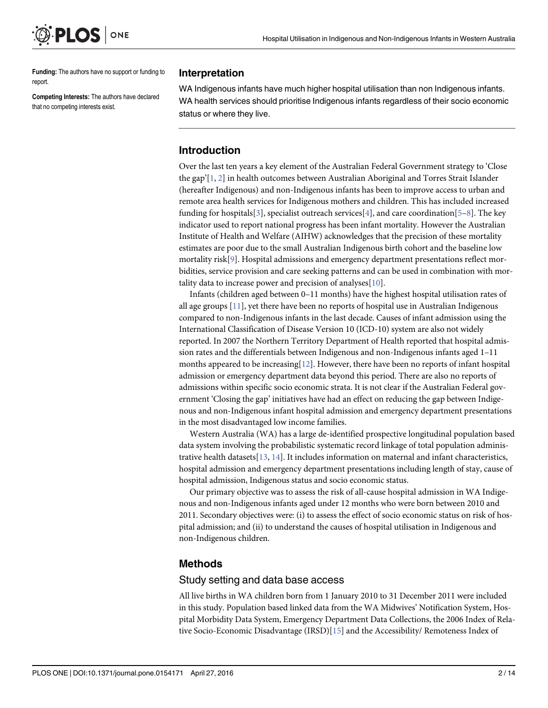<span id="page-3-0"></span>

Funding: The authors have no support or funding to report.

Competing Interests: The authors have declared that no competing interests exist.

#### Interpretation

WA Indigenous infants have much higher hospital utilisation than non Indigenous infants. WA health services should prioritise Indigenous infants regardless of their socio economic status or where they live.

#### Introduction

Over the last ten years a key element of the Australian Federal Government strategy to 'Close the gap'[[1](#page-13-0), [2](#page-13-0)] in health outcomes between Australian Aboriginal and Torres Strait Islander (hereafter Indigenous) and non-Indigenous infants has been to improve access to urban and remote area health services for Indigenous mothers and children. This has included increased funding for hospitals[\[3\]](#page-13-0), specialist outreach services[\[4\]](#page-13-0), and care coordination[[5](#page-14-0)–[8](#page-14-0)]. The key indicator used to report national progress has been infant mortality. However the Australian Institute of Health and Welfare (AIHW) acknowledges that the precision of these mortality estimates are poor due to the small Australian Indigenous birth cohort and the baseline low mortality risk[\[9](#page-14-0)]. Hospital admissions and emergency department presentations reflect morbidities, service provision and care seeking patterns and can be used in combination with mortality data to increase power and precision of analyses[\[10\]](#page-14-0).

Infants (children aged between 0–11 months) have the highest hospital utilisation rates of all age groups [[11](#page-14-0)], yet there have been no reports of hospital use in Australian Indigenous compared to non-Indigenous infants in the last decade. Causes of infant admission using the International Classification of Disease Version 10 (ICD-10) system are also not widely reported. In 2007 the Northern Territory Department of Health reported that hospital admission rates and the differentials between Indigenous and non-Indigenous infants aged 1–11 months appeared to be increasing[\[12\]](#page-14-0). However, there have been no reports of infant hospital admission or emergency department data beyond this period. There are also no reports of admissions within specific socio economic strata. It is not clear if the Australian Federal government 'Closing the gap' initiatives have had an effect on reducing the gap between Indigenous and non-Indigenous infant hospital admission and emergency department presentations in the most disadvantaged low income families.

Western Australia (WA) has a large de-identified prospective longitudinal population based data system involving the probabilistic systematic record linkage of total population administrative health datasets  $[13, 14]$  $[13, 14]$  $[13, 14]$  $[13, 14]$ . It includes information on maternal and infant characteristics, hospital admission and emergency department presentations including length of stay, cause of hospital admission, Indigenous status and socio economic status.

Our primary objective was to assess the risk of all-cause hospital admission in WA Indigenous and non-Indigenous infants aged under 12 months who were born between 2010 and 2011. Secondary objectives were: (i) to assess the effect of socio economic status on risk of hospital admission; and (ii) to understand the causes of hospital utilisation in Indigenous and non-Indigenous children.

#### Methods

#### Study setting and data base access

All live births in WA children born from 1 January 2010 to 31 December 2011 were included in this study. Population based linked data from the WA Midwives' Notification System, Hospital Morbidity Data System, Emergency Department Data Collections, the 2006 Index of Relative Socio-Economic Disadvantage (IRSD)[[15](#page-14-0)] and the Accessibility/ Remoteness Index of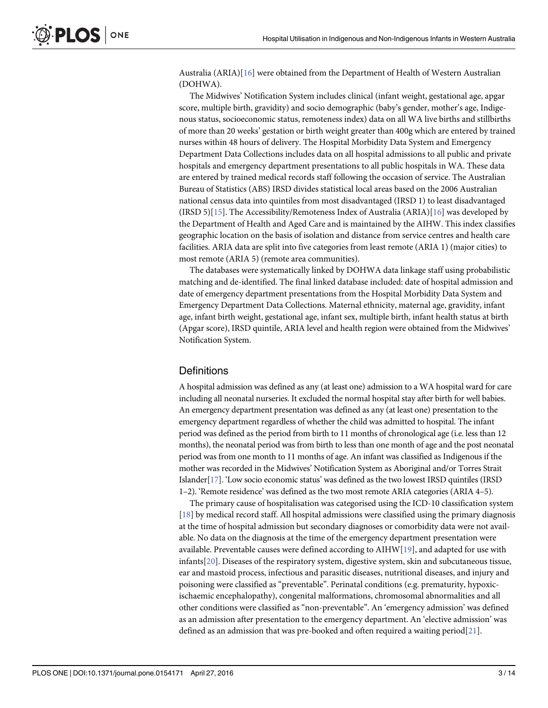<span id="page-4-0"></span>Australia (ARIA)[\[16\]](#page-14-0) were obtained from the Department of Health of Western Australian (DOHWA).

The Midwives' Notification System includes clinical (infant weight, gestational age, apgar score, multiple birth, gravidity) and socio demographic (baby's gender, mother's age, Indigenous status, socioeconomic status, remoteness index) data on all WA live births and stillbirths of more than 20 weeks' gestation or birth weight greater than 400g which are entered by trained nurses within 48 hours of delivery. The Hospital Morbidity Data System and Emergency Department Data Collections includes data on all hospital admissions to all public and private hospitals and emergency department presentations to all public hospitals in WA. These data are entered by trained medical records staff following the occasion of service. The Australian Bureau of Statistics (ABS) IRSD divides statistical local areas based on the 2006 Australian national census data into quintiles from most disadvantaged (IRSD 1) to least disadvantaged  $(IRSD 5)[15]$  $(IRSD 5)[15]$  $(IRSD 5)[15]$ . The Accessibility/Remoteness Index of Australia  $(ARIA)[16]$  $(ARIA)[16]$  $(ARIA)[16]$  was developed by the Department of Health and Aged Care and is maintained by the AIHW. This index classifies geographic location on the basis of isolation and distance from service centres and health care facilities. ARIA data are split into five categories from least remote (ARIA 1) (major cities) to most remote (ARIA 5) (remote area communities).

The databases were systematically linked by DOHWA data linkage staff using probabilistic matching and de-identified. The final linked database included: date of hospital admission and date of emergency department presentations from the Hospital Morbidity Data System and Emergency Department Data Collections. Maternal ethnicity, maternal age, gravidity, infant age, infant birth weight, gestational age, infant sex, multiple birth, infant health status at birth (Apgar score), IRSD quintile, ARIA level and health region were obtained from the Midwives' Notification System.

#### **Definitions**

A hospital admission was defined as any (at least one) admission to a WA hospital ward for care including all neonatal nurseries. It excluded the normal hospital stay after birth for well babies. An emergency department presentation was defined as any (at least one) presentation to the emergency department regardless of whether the child was admitted to hospital. The infant period was defined as the period from birth to 11 months of chronological age (i.e. less than 12 months), the neonatal period was from birth to less than one month of age and the post neonatal period was from one month to 11 months of age. An infant was classified as Indigenous if the mother was recorded in the Midwives' Notification System as Aboriginal and/or Torres Strait Islander[[17](#page-14-0)]. 'Low socio economic status' was defined as the two lowest IRSD quintiles (IRSD 1–2). 'Remote residence' was defined as the two most remote ARIA categories (ARIA 4–5).

The primary cause of hospitalisation was categorised using the ICD-10 classification system [\[18](#page-14-0)] by medical record staff. All hospital admissions were classified using the primary diagnosis at the time of hospital admission but secondary diagnoses or comorbidity data were not available. No data on the diagnosis at the time of the emergency department presentation were available. Preventable causes were defined according to AIHW[[19](#page-14-0)], and adapted for use with infants[[20](#page-14-0)]. Diseases of the respiratory system, digestive system, skin and subcutaneous tissue, ear and mastoid process, infectious and parasitic diseases, nutritional diseases, and injury and poisoning were classified as "preventable". Perinatal conditions (e.g. prematurity, hypoxicischaemic encephalopathy), congenital malformations, chromosomal abnormalities and all other conditions were classified as "non-preventable". An 'emergency admission' was defined as an admission after presentation to the emergency department. An 'elective admission' was defined as an admission that was pre-booked and often required a waiting period[ $21$ ].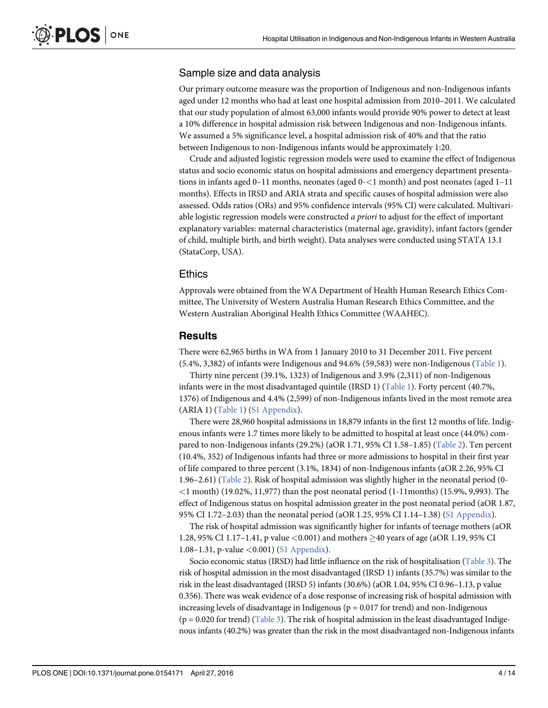#### <span id="page-5-0"></span>Sample size and data analysis

Our primary outcome measure was the proportion of Indigenous and non-Indigenous infants aged under 12 months who had at least one hospital admission from 2010–2011. We calculated that our study population of almost 63,000 infants would provide 90% power to detect at least a 10% difference in hospital admission risk between Indigenous and non-Indigenous infants. We assumed a 5% significance level, a hospital admission risk of 40% and that the ratio between Indigenous to non-Indigenous infants would be approximately 1:20.

Crude and adjusted logistic regression models were used to examine the effect of Indigenous status and socio economic status on hospital admissions and emergency department presentations in infants aged 0–11 months, neonates (aged 0-<1 month) and post neonates (aged 1–11 months). Effects in IRSD and ARIA strata and specific causes of hospital admission were also assessed. Odds ratios (ORs) and 95% confidence intervals (95% CI) were calculated. Multivariable logistic regression models were constructed a priori to adjust for the effect of important explanatory variables: maternal characteristics (maternal age, gravidity), infant factors (gender of child, multiple birth, and birth weight). Data analyses were conducted using STATA 13.1 (StataCorp, USA).

#### Ethics

Approvals were obtained from the WA Department of Health Human Research Ethics Committee, The University of Western Australia Human Research Ethics Committee, and the Western Australian Aboriginal Health Ethics Committee (WAAHEC).

#### Results

There were 62,965 births in WA from 1 January 2010 to 31 December 2011. Five percent  $(5.4\%, 3.382)$  of infants were Indigenous and  $94.6\%$  (59,583) were non-Indigenous [\(Table 1](#page-6-0)).

Thirty nine percent (39.1%, 1323) of Indigenous and 3.9% (2,311) of non-Indigenous infants were in the most disadvantaged quintile (IRSD 1) [\(Table 1\)](#page-6-0). Forty percent (40.7%, 1376) of Indigenous and 4.4% (2,599) of non-Indigenous infants lived in the most remote area (ARIA 1) ([Table 1\)](#page-6-0) [\(S1 Appendix](#page-13-0)).

There were 28,960 hospital admissions in 18,879 infants in the first 12 months of life. Indigenous infants were 1.7 times more likely to be admitted to hospital at least once (44.0%) compared to non-Indigenous infants (29.2%) (aOR 1.71, 95% CI 1.58–1.85) [\(Table 2\)](#page-8-0). Ten percent (10.4%, 352) of Indigenous infants had three or more admissions to hospital in their first year of life compared to three percent (3.1%, 1834) of non-Indigenous infants (aOR 2.26, 95% CI 1.96–2.61) [\(Table 2\)](#page-8-0). Risk of hospital admission was slightly higher in the neonatal period (0- $<$ 1 month) (19.02%, 11,977) than the post neonatal period (1-11months) (15.9%, 9,993). The effect of Indigenous status on hospital admission greater in the post neonatal period (aOR 1.87, 95% CI 1.72–2.03) than the neonatal period (aOR 1.25, 95% CI 1.14–1.38) [\(S1 Appendix](#page-13-0)).

The risk of hospital admission was significantly higher for infants of teenage mothers (aOR 1.28, 95% CI 1.17–1.41, p value  $\leq 0.001$  and mothers  $\geq 40$  years of age (aOR 1.19, 95% CI 1.08–1.31, p-value <0.001) ([S1 Appendix\)](#page-13-0).

Socio economic status (IRSD) had little influence on the risk of hospitalisation [\(Table 3\)](#page-9-0). The risk of hospital admission in the most disadvantaged (IRSD 1) infants (35.7%) was similar to the risk in the least disadvantaged (IRSD 5) infants (30.6%) (aOR 1.04, 95% CI 0.96–1.13, p value 0.356). There was weak evidence of a dose response of increasing risk of hospital admission with increasing levels of disadvantage in Indigenous ( $p = 0.017$  for trend) and non-Indigenous ( $p = 0.020$  for trend) ([Table 3\)](#page-9-0). The risk of hospital admission in the least disadvantaged Indigenous infants (40.2%) was greater than the risk in the most disadvantaged non-Indigenous infants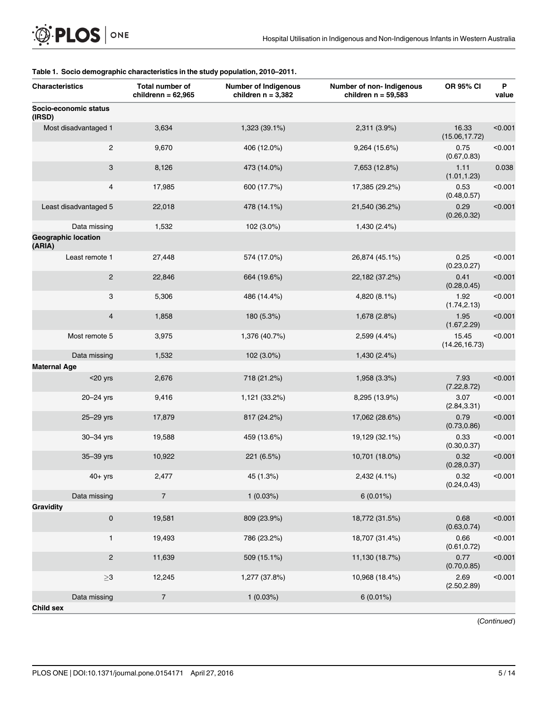| <b>Characteristics</b>               | Total number of<br>childrenn = $62,965$ | <b>Number of Indigenous</b><br>children $n = 3,382$ | Number of non- Indigenous<br>children $n = 59,583$ | OR 95% CI               | P<br>value |
|--------------------------------------|-----------------------------------------|-----------------------------------------------------|----------------------------------------------------|-------------------------|------------|
| Socio-economic status<br>(IRSD)      |                                         |                                                     |                                                    |                         |            |
| Most disadvantaged 1                 | 3,634                                   | 1,323 (39.1%)                                       | 2,311 (3.9%)                                       | 16.33<br>(15.06, 17.72) | < 0.001    |
| $\overline{c}$                       | 9,670                                   | 406 (12.0%)                                         | 9,264 (15.6%)                                      | 0.75<br>(0.67, 0.83)    | < 0.001    |
| 3                                    | 8,126                                   | 473 (14.0%)                                         | 7,653 (12.8%)                                      | 1.11<br>(1.01, 1.23)    | 0.038      |
| 4                                    | 17,985                                  | 600 (17.7%)                                         | 17,385 (29.2%)                                     | 0.53<br>(0.48, 0.57)    | < 0.001    |
| Least disadvantaged 5                | 22,018                                  | 478 (14.1%)                                         | 21,540 (36.2%)                                     | 0.29<br>(0.26, 0.32)    | < 0.001    |
| Data missing                         | 1,532                                   | 102 (3.0%)                                          | 1,430 (2.4%)                                       |                         |            |
| <b>Geographic location</b><br>(ARIA) |                                         |                                                     |                                                    |                         |            |
| Least remote 1                       | 27,448                                  | 574 (17.0%)                                         | 26,874 (45.1%)                                     | 0.25<br>(0.23, 0.27)    | < 0.001    |
| $\overline{c}$                       | 22,846                                  | 664 (19.6%)                                         | 22,182 (37.2%)                                     | 0.41<br>(0.28, 0.45)    | < 0.001    |
| 3                                    | 5,306                                   | 486 (14.4%)                                         | 4,820 (8.1%)                                       | 1.92<br>(1.74, 2.13)    | < 0.001    |
| 4                                    | 1,858                                   | 180 (5.3%)                                          | 1,678 (2.8%)                                       | 1.95<br>(1.67, 2.29)    | < 0.001    |
| Most remote 5                        | 3,975                                   | 1,376 (40.7%)                                       | 2,599 (4.4%)                                       | 15.45<br>(14.26, 16.73) | < 0.001    |
| Data missing<br><b>Maternal Age</b>  | 1,532                                   | 102 (3.0%)                                          | 1,430 (2.4%)                                       |                         |            |
| $<$ 20 yrs                           | 2,676                                   | 718 (21.2%)                                         | 1,958 (3.3%)                                       | 7.93<br>(7.22, 8.72)    | < 0.001    |
| 20-24 yrs                            | 9,416                                   | 1,121 (33.2%)                                       | 8,295 (13.9%)                                      | 3.07<br>(2.84, 3.31)    | < 0.001    |
| 25-29 yrs                            | 17,879                                  | 817 (24.2%)                                         | 17,062 (28.6%)                                     | 0.79<br>(0.73, 0.86)    | < 0.001    |
| 30-34 yrs                            | 19,588                                  | 459 (13.6%)                                         | 19,129 (32.1%)                                     | 0.33<br>(0.30, 0.37)    | < 0.001    |
| 35-39 yrs                            | 10,922                                  | 221 (6.5%)                                          | 10,701 (18.0%)                                     | 0.32<br>(0.28, 0.37)    | < 0.001    |
| $40+$ yrs                            | 2,477                                   | 45 (1.3%)                                           | 2,432 (4.1%)                                       | 0.32<br>(0.24, 0.43)    | < 0.001    |
| Data missing                         | $\sqrt{7}$                              | 1(0.03%)                                            | $6(0.01\%)$                                        |                         |            |
| Gravidity                            |                                         |                                                     |                                                    |                         |            |
| $\pmb{0}$                            | 19,581                                  | 809 (23.9%)                                         | 18,772 (31.5%)                                     | 0.68<br>(0.63, 0.74)    | < 0.001    |
| $\mathbf{1}$                         | 19,493                                  | 786 (23.2%)                                         | 18,707 (31.4%)                                     | 0.66<br>(0.61, 0.72)    | < 0.001    |
| $\overline{c}$                       | 11,639                                  | 509 (15.1%)                                         | 11,130 (18.7%)                                     | 0.77<br>(0.70, 0.85)    | < 0.001    |
| ${\geq}3$                            | 12,245                                  | 1,277 (37.8%)                                       | 10,968 (18.4%)                                     | 2.69<br>(2.50, 2.89)    | < 0.001    |
| Data missing                         | $\sqrt{7}$                              | 1(0.03%)                                            | $6(0.01\%)$                                        |                         |            |
| <b>Child sex</b>                     |                                         |                                                     |                                                    |                         |            |

#### <span id="page-6-0"></span>[Table 1.](#page-5-0) Socio demographic characteristics in the study population, 2010–2011.

(Continued)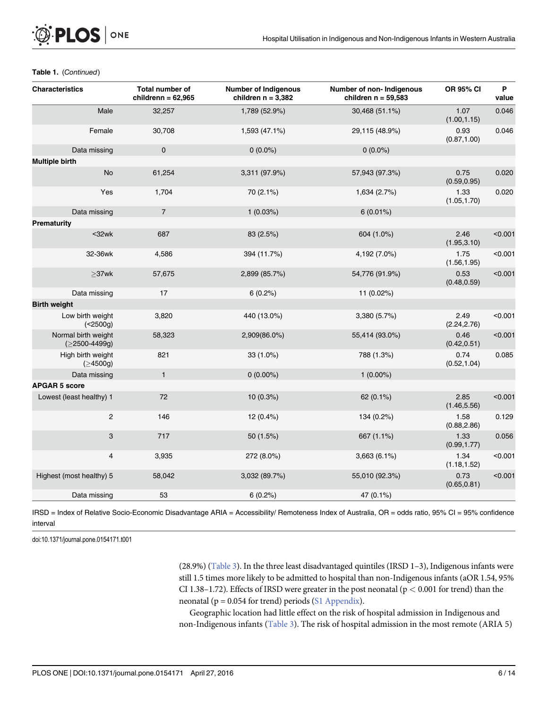| <b>Characteristics</b>                 | <b>Total number of</b><br>childrenn = $62,965$ | <b>Number of Indigenous</b><br>children $n = 3,382$ | Number of non- Indigenous<br>children $n = 59,583$ | <b>OR 95% CI</b>     | P<br>value |
|----------------------------------------|------------------------------------------------|-----------------------------------------------------|----------------------------------------------------|----------------------|------------|
| Male                                   | 32,257                                         | 1,789 (52.9%)                                       | 30,468 (51.1%)                                     | 1.07<br>(1.00, 1.15) | 0.046      |
| Female                                 | 30,708                                         | 1,593 (47.1%)                                       | 29,115 (48.9%)                                     | 0.93<br>(0.87, 1.00) | 0.046      |
| Data missing                           | $\mathbf 0$                                    | $0(0.0\%)$                                          | $0(0.0\%)$                                         |                      |            |
| <b>Multiple birth</b>                  |                                                |                                                     |                                                    |                      |            |
| <b>No</b>                              | 61,254                                         | 3,311 (97.9%)                                       | 57,943 (97.3%)                                     | 0.75<br>(0.59, 0.95) | 0.020      |
| Yes                                    | 1,704                                          | 70 (2.1%)                                           | 1,634 (2.7%)                                       | 1.33<br>(1.05, 1.70) | 0.020      |
| Data missing                           | $\overline{7}$                                 | 1(0.03%)                                            | $6(0.01\%)$                                        |                      |            |
| Prematurity                            |                                                |                                                     |                                                    |                      |            |
| $32wk$                                 | 687                                            | 83 (2.5%)                                           | 604 (1.0%)                                         | 2.46<br>(1.95, 3.10) | < 0.001    |
| 32-36wk                                | 4,586                                          | 394 (11.7%)                                         | 4,192 (7.0%)                                       | 1.75<br>(1.56, 1.95) | < 0.001    |
| $\geq$ 37wk                            | 57,675                                         | 2,899 (85.7%)                                       | 54,776 (91.9%)                                     | 0.53<br>(0.48, 0.59) | < 0.001    |
| Data missing                           | 17                                             | $6(0.2\%)$                                          | 11 (0.02%)                                         |                      |            |
| <b>Birth weight</b>                    |                                                |                                                     |                                                    |                      |            |
| Low birth weight<br>(<2500g)           | 3,820                                          | 440 (13.0%)                                         | 3,380 (5.7%)                                       | 2.49<br>(2.24, 2.76) | < 0.001    |
| Normal birth weight<br>$(≥2500-4499g)$ | 58,323                                         | 2,909(86.0%)                                        | 55,414 (93.0%)                                     | 0.46<br>(0.42, 0.51) | < 0.001    |
| High birth weight<br>(≥4500g)          | 821                                            | 33 (1.0%)                                           | 788 (1.3%)                                         | 0.74<br>(0.52, 1.04) | 0.085      |
| Data missing                           | $\mathbf{1}$                                   | $0(0.00\%)$                                         | $1(0.00\%)$                                        |                      |            |
| <b>APGAR 5 score</b>                   |                                                |                                                     |                                                    |                      |            |
| Lowest (least healthy) 1               | 72                                             | 10 (0.3%)                                           | 62 (0.1%)                                          | 2.85<br>(1.46, 5.56) | < 0.001    |
| $\overline{c}$                         | 146                                            | 12 (0.4%)                                           | 134 (0.2%)                                         | 1.58<br>(0.88, 2.86) | 0.129      |
| 3                                      | 717                                            | 50 (1.5%)                                           | 667 (1.1%)                                         | 1.33<br>(0.99, 1.77) | 0.056      |
| 4                                      | 3,935                                          | 272 (8.0%)                                          | 3,663(6.1%)                                        | 1.34<br>(1.18, 1.52) | < 0.001    |
| Highest (most healthy) 5               | 58,042                                         | 3,032 (89.7%)                                       | 55,010 (92.3%)                                     | 0.73<br>(0.65, 0.81) | < 0.001    |
| Data missing                           | 53                                             | 6(0.2%)                                             | 47 (0.1%)                                          |                      |            |

#### Table 1. (Continued)

IRSD = Index of Relative Socio-Economic Disadvantage ARIA = Accessibility/ Remoteness Index of Australia, OR = odds ratio, 95% CI = 95% confidence interval

doi:10.1371/journal.pone.0154171.t001

(28.9%) ([Table 3](#page-9-0)). In the three least disadvantaged quintiles (IRSD 1–3), Indigenous infants were still 1.5 times more likely to be admitted to hospital than non-Indigenous infants (aOR 1.54, 95% CI 1.38-1.72). Effects of IRSD were greater in the post neonatal ( $p < 0.001$  for trend) than the neonatal ( $p = 0.054$  for trend) periods ( $S1$  Appendix).

Geographic location had little effect on the risk of hospital admission in Indigenous and non-Indigenous infants [\(Table 3](#page-9-0)). The risk of hospital admission in the most remote (ARIA 5)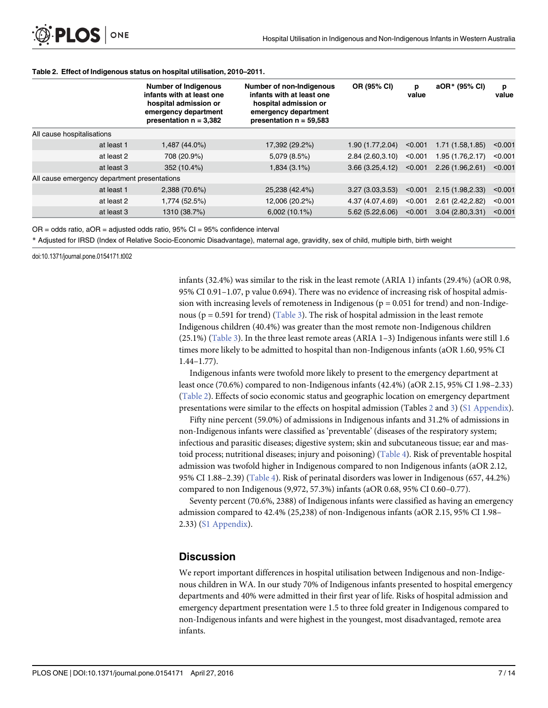|                                              | <b>Number of Indigenous</b><br>infants with at least one<br>hospital admission or<br>emergency department<br>presentation $n = 3,382$ | <b>Number of non-Indigenous</b><br>infants with at least one<br>hospital admission or<br>emergency department<br>presentation $n = 59,583$ | OR (95% CI)       | p<br>value | aOR* (95% CI)     | p<br>value |
|----------------------------------------------|---------------------------------------------------------------------------------------------------------------------------------------|--------------------------------------------------------------------------------------------------------------------------------------------|-------------------|------------|-------------------|------------|
| All cause hospitalisations                   |                                                                                                                                       |                                                                                                                                            |                   |            |                   |            |
| at least 1                                   | 1,487 (44.0%)                                                                                                                         | 17,392 (29.2%)                                                                                                                             | 1.90 (1.77, 2.04) | < 0.001    | 1.71 (1.58,1.85)  | < 0.001    |
| at least 2                                   | 708 (20.9%)                                                                                                                           | 5,079 (8.5%)                                                                                                                               | 2.84(2.60, 3.10)  | < 0.001    | 1.95 (1.76, 2.17) | < 0.001    |
| at least 3                                   | 352 (10.4%)                                                                                                                           | 1,834 (3.1%)                                                                                                                               | 3.66(3.25, 4.12)  | < 0.001    | 2.26(1.96, 2.61)  | < 0.001    |
| All cause emergency department presentations |                                                                                                                                       |                                                                                                                                            |                   |            |                   |            |
| at least 1                                   | 2,388 (70.6%)                                                                                                                         | 25,238 (42.4%)                                                                                                                             | 3.27(3.03,3.53)   | < 0.001    | 2.15(1.98, 2.33)  | < 0.001    |
| at least 2                                   | 1,774 (52.5%)                                                                                                                         | 12,006 (20.2%)                                                                                                                             | 4.37 (4.07,4.69)  | < 0.001    | 2.61 (2.42, 2.82) | < 0.001    |
| at least 3                                   | 1310 (38.7%)                                                                                                                          | 6,002(10.1%)                                                                                                                               | 5.62 (5.22,6.06)  | < 0.001    | 3.04(2.80, 3.31)  | < 0.001    |

#### <span id="page-8-0"></span>[Table 2.](#page-5-0) Effect of Indigenous status on hospital utilisation, 2010–2011.

 $OR = odds ratio$ ,  $aOR = adjusted odds ratio$ ,  $95\% CI = 95\% confidence interval$ 

\* Adjusted for IRSD (Index of Relative Socio-Economic Disadvantage), maternal age, gravidity, sex of child, multiple birth, birth weight

doi:10.1371/journal.pone.0154171.t002

infants (32.4%) was similar to the risk in the least remote (ARIA 1) infants (29.4%) (aOR 0.98, 95% CI 0.91–1.07, p value 0.694). There was no evidence of increasing risk of hospital admission with increasing levels of remoteness in Indigenous ( $p = 0.051$  for trend) and non-Indigenous ( $p = 0.591$  for trend) [\(Table 3](#page-9-0)). The risk of hospital admission in the least remote Indigenous children (40.4%) was greater than the most remote non-Indigenous children (25.1%) ([Table 3\)](#page-9-0). In the three least remote areas (ARIA 1–3) Indigenous infants were still 1.6 times more likely to be admitted to hospital than non-Indigenous infants (aOR 1.60, 95% CI 1.44–1.77).

Indigenous infants were twofold more likely to present to the emergency department at least once (70.6%) compared to non-Indigenous infants (42.4%) (aOR 2.15, 95% CI 1.98–2.33) (Table 2). Effects of socio economic status and geographic location on emergency department presentations were similar to the effects on hospital admission (Tables 2 and [3](#page-9-0)) [\(S1 Appendix\)](#page-13-0).

Fifty nine percent (59.0%) of admissions in Indigenous infants and 31.2% of admissions in non-Indigenous infants were classified as 'preventable' (diseases of the respiratory system; infectious and parasitic diseases; digestive system; skin and subcutaneous tissue; ear and mastoid process; nutritional diseases; injury and poisoning) ([Table 4](#page-11-0)). Risk of preventable hospital admission was twofold higher in Indigenous compared to non Indigenous infants (aOR 2.12, 95% CI 1.88–2.39) ([Table 4\)](#page-11-0). Risk of perinatal disorders was lower in Indigenous (657, 44.2%) compared to non Indigenous (9,972, 57.3%) infants (aOR 0.68, 95% CI 0.60–0.77).

Seventy percent (70.6%, 2388) of Indigenous infants were classified as having an emergency admission compared to 42.4% (25,238) of non-Indigenous infants (aOR 2.15, 95% CI 1.98– 2.33) ([S1 Appendix\)](#page-13-0).

#### **Discussion**

We report important differences in hospital utilisation between Indigenous and non-Indigenous children in WA. In our study 70% of Indigenous infants presented to hospital emergency departments and 40% were admitted in their first year of life. Risks of hospital admission and emergency department presentation were 1.5 to three fold greater in Indigenous compared to non-Indigenous infants and were highest in the youngest, most disadvantaged, remote area infants.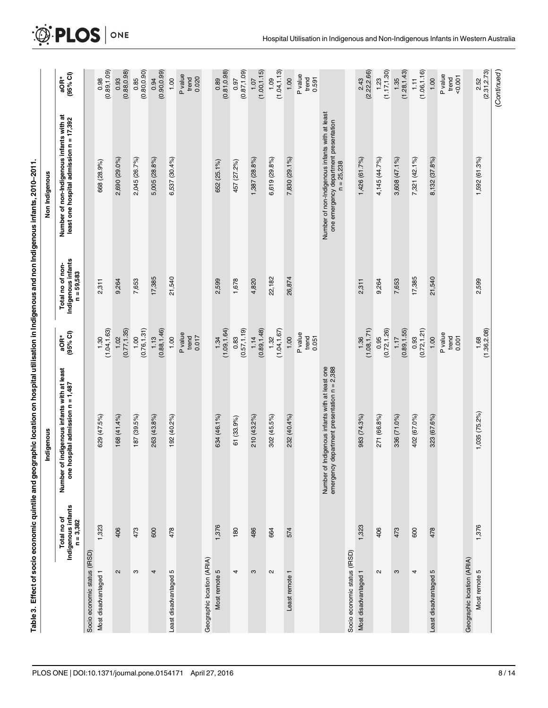<span id="page-9-0"></span>

|                                                |                                                  | Table 3. Effect of socio economic quintile and geographic location on hospital utilisation in Indigenous and non Indigenous infants, 2010–2011. |                                |                                                        |                                                                                                         |                               |
|------------------------------------------------|--------------------------------------------------|-------------------------------------------------------------------------------------------------------------------------------------------------|--------------------------------|--------------------------------------------------------|---------------------------------------------------------------------------------------------------------|-------------------------------|
|                                                |                                                  | Indigenous                                                                                                                                      |                                |                                                        | Non Indigenous                                                                                          |                               |
|                                                | Indigenous infants<br>Total no of<br>$n = 3,382$ | Number of indigenous infants with at least<br>one hospital admission n = 1,487                                                                  | $(95%$ Cl)<br>aOR*             | Indigenous infants<br>Total no of non-<br>$n = 59,583$ | Number of non-Indigenous infants with at<br>least one hospital admission n = 17,392                     | (95% Cl)<br>$aOR*$            |
| Socio economic status (IRSD)                   |                                                  |                                                                                                                                                 |                                |                                                        |                                                                                                         |                               |
| Most disadvantaged 1                           | 1,323                                            | 629 (47.5%)                                                                                                                                     | (1.04, 1.63)<br>1.30           | 2,311                                                  | 668 (28.9%)                                                                                             | (0.89, 1.09)<br>0.98          |
| $\mathbf{\Omega}$                              | 406                                              | 168 (41.4%)                                                                                                                                     | (0.77, 1.35)<br>1.02           | 9,264                                                  | 2,690 (29.0%)                                                                                           | (0.88, 0.98)<br>0.93          |
| S                                              | 473                                              | 187 (39.5%)                                                                                                                                     | (0.76, 1.31)<br>1.00           | 7,653                                                  | 2,045 (26.7%)                                                                                           | $0.85$<br>$(0.80, 0.90)$      |
| 4                                              | 600                                              | 263 (43.8%)                                                                                                                                     | (0.88, 1.46)<br>1.13           | 17,385                                                 | 5,005 (28.8%)                                                                                           | (0.90, 0.99)<br>0.94          |
| Least disadvantaged 5                          | 478                                              | 192 (40.2%)                                                                                                                                     | 1.00                           | 21,540                                                 | 6,537 (30.4%)                                                                                           | 1.00                          |
|                                                |                                                  |                                                                                                                                                 | P value<br>trend<br>0.017      |                                                        |                                                                                                         | P value<br>0.020<br>trend     |
| Geographic location (ARIA)                     |                                                  |                                                                                                                                                 |                                |                                                        |                                                                                                         |                               |
| Most remote 5                                  | 1,376                                            | 634 (46.1%)                                                                                                                                     | (1.09, 1.64)<br>1.34           | 2,599                                                  | 652 (25.1%)                                                                                             | (0.81, 0.98)<br>0.89          |
| 4                                              | 180                                              | 61 (33.9%)                                                                                                                                      | (0.57, 1.19)<br>0.83           | 1,678                                                  | 457 (27.2%)                                                                                             | (0.87, 1.09)<br>0.97          |
| S                                              | 486                                              | 210 (43.2%)                                                                                                                                     | (0.89, 1.48)<br>1.14           | 4,820                                                  | $1,387(28.8\%)$                                                                                         | (1.00, 1.15)<br>1.07          |
| $\sim$                                         | 664                                              | 302 (45.5%)                                                                                                                                     | (1.04, 1.67)<br>1.32           | 22,182                                                 | 6,619 (29.8%)                                                                                           | (1.04, 1.13)<br>1.09          |
| Least remote 1                                 | 574                                              | 232 (40.4%)                                                                                                                                     | 1.00                           | 26,874                                                 | 7,830 (29.1%)                                                                                           | 1.00                          |
|                                                |                                                  |                                                                                                                                                 | P value<br>trend<br>0.051      |                                                        |                                                                                                         | P value<br>trend<br>0.591     |
|                                                |                                                  | Number of Indigenous infants with at least one<br>emergency department presentation n = 2,388                                                   |                                |                                                        | Number of non-Indigenous infants with at least<br>one emergency department presentation<br>$n = 25,238$ |                               |
| Socio economic status (IRSD)                   |                                                  |                                                                                                                                                 |                                |                                                        |                                                                                                         |                               |
| $\overline{\phantom{0}}$<br>Most disadvantaged | 1,323                                            | 983 (74.3%)                                                                                                                                     | (1.08, 1.71)<br>1.36           | 2,311                                                  | 1,426 (61.7%)                                                                                           | (2.22, 2.66)<br>2.43          |
| $\sim$                                         | 406                                              | 271 (66.8%)                                                                                                                                     | (0.72, 1.26)<br>0.95           | 9,264                                                  | 4,145 (44.7%)                                                                                           | (1.17, 1.30)<br>1.23          |
| S                                              | 473                                              | 336 (71.0%)                                                                                                                                     | (0.89, 1.55)<br>1.17           | 7,653                                                  | 3,608 (47.1%)                                                                                           | (1.28, 1.43)<br>1.35          |
| 4                                              | 600                                              | 402 (67.0%)                                                                                                                                     | (0.72, 1.21)<br>0.93           | 17,385                                                 | 7,321 (42.1%)                                                                                           | (1.06, 1.16)<br>$\frac{1}{2}$ |
| Б<br>Least disadvantaged                       | 478                                              | 323 (67.6%)                                                                                                                                     | 1.00                           | 21,540                                                 | 8,132 (37.8%)                                                                                           | 1.00                          |
|                                                |                                                  |                                                                                                                                                 | P value<br>$t$ rend<br>$0.001$ |                                                        |                                                                                                         | P value<br>50.001<br>trend    |
| Geographic location (ARIA)                     |                                                  |                                                                                                                                                 |                                |                                                        |                                                                                                         |                               |
| Most remote 5                                  | 1,376                                            | $1,035(75.2\%)$                                                                                                                                 | (1.36, 2.08)<br>1.68           | 2,599                                                  | 1,592 (61.3%)                                                                                           | (2.31, 2.73)<br>2.52          |

(Continued)

(Continued)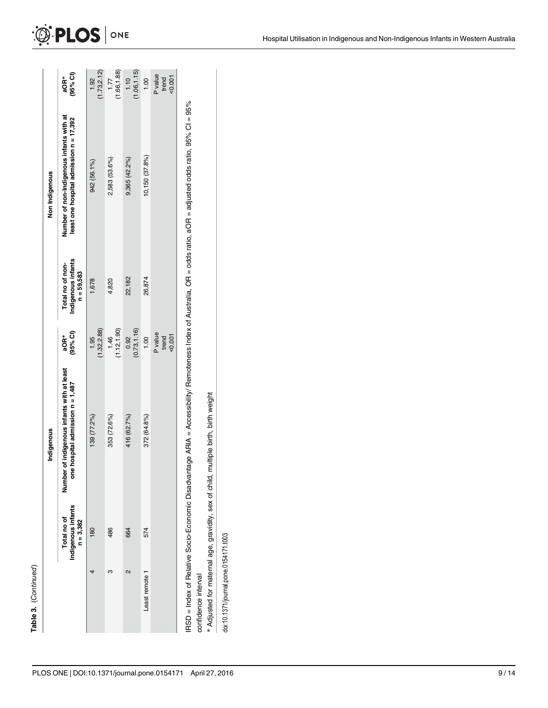|                     |                                                  | Indigenous                                                                                 |                             |                                                        | Non Indigenous                                                                                                                                                    |                            |
|---------------------|--------------------------------------------------|--------------------------------------------------------------------------------------------|-----------------------------|--------------------------------------------------------|-------------------------------------------------------------------------------------------------------------------------------------------------------------------|----------------------------|
|                     | Indigenous infants<br>$n = 3,382$<br>Total no of | ther of indigenous infants with at least<br>one hospital admission n = 1,487<br>num<br>Num | (95% <sup>o</sup> )<br>aOR* | Indigenous infants<br>Total no of non-<br>$n = 59,583$ | Number of non-Indigenous infants with at<br>least one hospital admission n = 17,392                                                                               | aOR <sup>-</sup><br>(95%   |
|                     | 180                                              | 139 (77.2%)                                                                                | (1.32, 2.88)<br>1.95        | 1,678                                                  | 942 (56.1%)                                                                                                                                                       | 1.92<br>(1.73,2.           |
|                     | 486                                              | 353 (72.6%)                                                                                | (1.12, 1.90)<br>1.46        | 4,820                                                  | 2,583 (53.6%)                                                                                                                                                     | 7.77<br>1.66, 1.           |
| 2                   | 664                                              | 416 (62.7%)                                                                                | (0.73, 1.16)<br>0.92        | 22,182                                                 | $9,365(42.2\%)$                                                                                                                                                   | 1.10<br>(1.06, 1.          |
| Least remote 1      | 574                                              | 372 (64.8%)                                                                                | 1.00                        | 26,874                                                 | 10,150 (37.8%)                                                                                                                                                    | $rac{0}{1}$                |
|                     |                                                  |                                                                                            | P value<br>0.007<br>trend   |                                                        |                                                                                                                                                                   | P valu<br>trenc<br>$-0.00$ |
| confidence interval |                                                  |                                                                                            |                             |                                                        | RSD = Index of Relative Socio-Economic Disadvantage ARIA = Accessibility/ Remoteness Index of Australia, OR = odds ratio, aOR = adjusted odds ratio, 95% CI = 95% |                            |

aOR\* (95% CI)

 $(1.73,2.12)$ <br>  $1.77$ <br>  $(1.66,1.88)$ <br>  $1.10$ <br>  $1.10$ <br>  $1.00$ <br>  $1.00$ <br>
P value<br>
trend <0.001

\* Adjusted for maternal age, gravidity, sex of child, multiple birth, birth weight Adjusted for maternal age, gravidity, sex of child, multiple birth, birth weight

doi:10.1371/journal.pone.0154171.t003

doi:10.1371/journal.pone.0154171.t003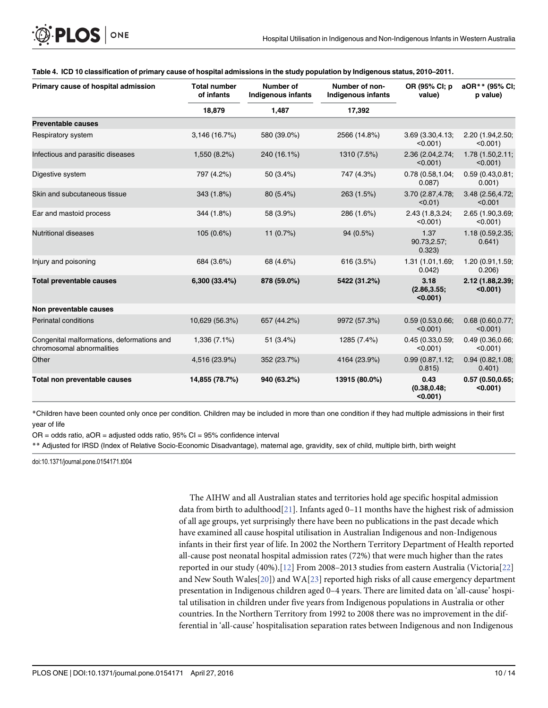| Primary cause of hospital admission                                     | <b>Total number</b><br>of infants | Number of<br><b>Indigenous infants</b> | Number of non-<br>Indigenous infants | OR (95% CI; p<br>value)             | aOR** (95% CI;<br>p value)       |
|-------------------------------------------------------------------------|-----------------------------------|----------------------------------------|--------------------------------------|-------------------------------------|----------------------------------|
|                                                                         | 18,879                            | 1,487                                  | 17,392                               |                                     |                                  |
| <b>Preventable causes</b>                                               |                                   |                                        |                                      |                                     |                                  |
| Respiratory system                                                      | 3,146 (16.7%)                     | 580 (39.0%)                            | 2566 (14.8%)                         | 3.69 (3.30,4.13;<br>$< 0.001$ )     | 2.20 (1.94, 2.50;<br>$< 0.001$ ) |
| Infectious and parasitic diseases                                       | 1,550 (8.2%)                      | 240 (16.1%)                            | 1310 (7.5%)                          | 2.36 (2.04, 2.74;<br>$< 0.001$ )    | 1.78 (1.50,2.11;<br>$< 0.001$ )  |
| Digestive system                                                        | 797 (4.2%)                        | 50 (3.4%)                              | 747 (4.3%)                           | 0.78(0.58, 1.04)<br>0.087)          | 0.59(0.43, 0.81)<br>0.001)       |
| Skin and subcutaneous tissue                                            | 343 (1.8%)                        | 80 (5.4%)                              | 263 (1.5%)                           | 3.70 (2.87,4.78;<br>$< 0.01$ )      | 3.48 (2.56,4.72;<br>< 0.001      |
| Ear and mastoid process                                                 | 344 (1.8%)                        | 58 (3.9%)                              | 286 (1.6%)                           | 2.43 (1.8,3.24;<br>$< 0.001$ )      | 2.65 (1.90, 3.69;<br>$< 0.001$ ) |
| <b>Nutritional diseases</b>                                             | 105 (0.6%)                        | 11 $(0.7\%)$                           | 94 (0.5%)                            | 1.37<br>90.73,2.57;<br>0.323)       | 1.18 (0.59,2.35;<br>0.641)       |
| Injury and poisoning                                                    | 684 (3.6%)                        | 68 (4.6%)                              | 616 (3.5%)                           | 1.31 (1.01,1.69;<br>0.042)          | 1.20 (0.91,1.59;<br>0.206)       |
| <b>Total preventable causes</b>                                         | 6,300 (33.4%)                     | 878 (59.0%)                            | 5422 (31.2%)                         | 3.18<br>(2.86, 3.55)<br>$< 0.001$ ) | 2.12 (1.88, 2.39;<br>$< 0.001$ ) |
| Non preventable causes                                                  |                                   |                                        |                                      |                                     |                                  |
| <b>Perinatal conditions</b>                                             | 10,629 (56.3%)                    | 657 (44.2%)                            | 9972 (57.3%)                         | 0.59(0.53, 0.66;<br>$< 0.001$ )     | 0.68(0.60, 0.77)<br>$< 0.001$ )  |
| Congenital malformations, deformations and<br>chromosomal abnormalities | 1,336 (7.1%)                      | 51 (3.4%)                              | 1285 (7.4%)                          | 0.45(0.33, 0.59;<br>$< 0.001$ )     | 0.49 (0.36,0.66;<br>$< 0.001$ )  |
| Other                                                                   | 4,516 (23.9%)                     | 352 (23.7%)                            | 4164 (23.9%)                         | 0.99(0.87, 1.12)<br>0.815)          | 0.94(0.82, 1.08;<br>0.401)       |
| Total non preventable causes                                            | 14,855 (78.7%)                    | 940 (63.2%)                            | 13915 (80.0%)                        | 0.43<br>(0.38, 0.48;<br>$< 0.001$ ) | 0.57(0.50, 0.65)<br>$< 0.001$ )  |

#### <span id="page-11-0"></span>[Table 4.](#page-8-0) ICD 10 classification of primary cause of hospital admissions in the study population by Indigenous status, 2010–2011.

\*Children have been counted only once per condition. Children may be included in more than one condition if they had multiple admissions in their first year of life

 $OR = odds ratio$ ,  $aOR = adjusted odds ratio$ ,  $95\% CI = 95\% confidence interval$ 

\*\* Adjusted for IRSD (Index of Relative Socio-Economic Disadvantage), maternal age, gravidity, sex of child, multiple birth, birth weight

doi:10.1371/journal.pone.0154171.t004

The AIHW and all Australian states and territories hold age specific hospital admission data from birth to adulthood[\[21](#page-14-0)]. Infants aged  $0-11$  months have the highest risk of admission of all age groups, yet surprisingly there have been no publications in the past decade which have examined all cause hospital utilisation in Australian Indigenous and non-Indigenous infants in their first year of life. In 2002 the Northern Territory Department of Health reported all-cause post neonatal hospital admission rates (72%) that were much higher than the rates reported in our study (40%).[\[12\]](#page-14-0) From 2008–2013 studies from eastern Australia (Victoria[\[22\]](#page-14-0) and New South Wales $[20]$  $[20]$ ) and WA $[23]$  $[23]$  $[23]$  reported high risks of all cause emergency department presentation in Indigenous children aged 0–4 years. There are limited data on 'all-cause' hospital utilisation in children under five years from Indigenous populations in Australia or other countries. In the Northern Territory from 1992 to 2008 there was no improvement in the differential in 'all-cause' hospitalisation separation rates between Indigenous and non Indigenous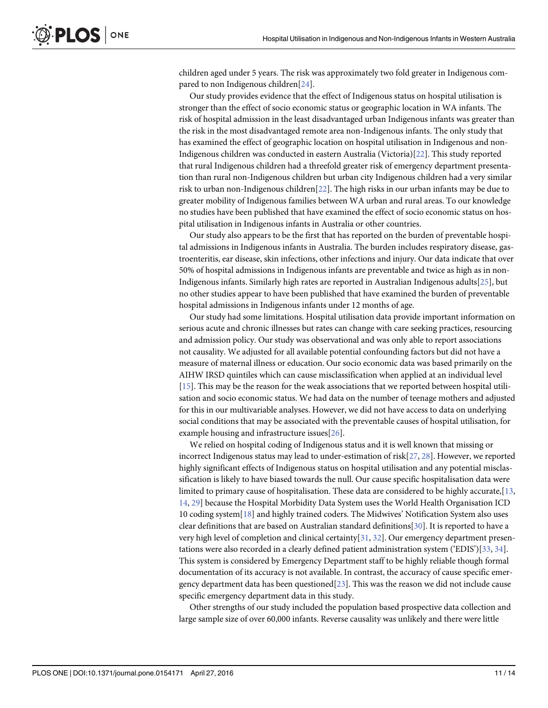<span id="page-12-0"></span>children aged under 5 years. The risk was approximately two fold greater in Indigenous com-pared to non Indigenous children[\[24\]](#page-14-0).

Our study provides evidence that the effect of Indigenous status on hospital utilisation is stronger than the effect of socio economic status or geographic location in WA infants. The risk of hospital admission in the least disadvantaged urban Indigenous infants was greater than the risk in the most disadvantaged remote area non-Indigenous infants. The only study that has examined the effect of geographic location on hospital utilisation in Indigenous and non-Indigenous children was conducted in eastern Australia (Victoria)[[22\]](#page-14-0). This study reported that rural Indigenous children had a threefold greater risk of emergency department presentation than rural non-Indigenous children but urban city Indigenous children had a very similar risk to urban non-Indigenous children[[22](#page-14-0)]. The high risks in our urban infants may be due to greater mobility of Indigenous families between WA urban and rural areas. To our knowledge no studies have been published that have examined the effect of socio economic status on hospital utilisation in Indigenous infants in Australia or other countries.

Our study also appears to be the first that has reported on the burden of preventable hospital admissions in Indigenous infants in Australia. The burden includes respiratory disease, gastroenteritis, ear disease, skin infections, other infections and injury. Our data indicate that over 50% of hospital admissions in Indigenous infants are preventable and twice as high as in non-Indigenous infants. Similarly high rates are reported in Australian Indigenous adults[[25](#page-14-0)], but no other studies appear to have been published that have examined the burden of preventable hospital admissions in Indigenous infants under 12 months of age.

Our study had some limitations. Hospital utilisation data provide important information on serious acute and chronic illnesses but rates can change with care seeking practices, resourcing and admission policy. Our study was observational and was only able to report associations not causality. We adjusted for all available potential confounding factors but did not have a measure of maternal illness or education. Our socio economic data was based primarily on the AIHW IRSD quintiles which can cause misclassification when applied at an individual level [\[15](#page-14-0)]. This may be the reason for the weak associations that we reported between hospital utilisation and socio economic status. We had data on the number of teenage mothers and adjusted for this in our multivariable analyses. However, we did not have access to data on underlying social conditions that may be associated with the preventable causes of hospital utilisation, for example housing and infrastructure issues[[26\]](#page-14-0).

We relied on hospital coding of Indigenous status and it is well known that missing or incorrect Indigenous status may lead to under-estimation of risk $[27, 28]$  $[27, 28]$  $[27, 28]$ . However, we reported highly significant effects of Indigenous status on hospital utilisation and any potential misclassification is likely to have biased towards the null. Our cause specific hospitalisation data were limited to primary cause of hospitalisation. These data are considered to be highly accurate, [[13,](#page-14-0) [14,](#page-14-0) [29\]](#page-15-0) because the Hospital Morbidity Data System uses the World Health Organisation ICD 10 coding system[[18](#page-14-0)] and highly trained coders. The Midwives' Notification System also uses clear definitions that are based on Australian standard definitions[[30](#page-15-0)]. It is reported to have a very high level of completion and clinical certainty[[31](#page-15-0), [32](#page-15-0)]. Our emergency department presentations were also recorded in a clearly defined patient administration system ('EDIS')[[33](#page-15-0), [34](#page-15-0)]. This system is considered by Emergency Department staff to be highly reliable though formal documentation of its accuracy is not available. In contrast, the accuracy of cause specific emergency department data has been questioned $[23]$  $[23]$ . This was the reason we did not include cause specific emergency department data in this study.

Other strengths of our study included the population based prospective data collection and large sample size of over 60,000 infants. Reverse causality was unlikely and there were little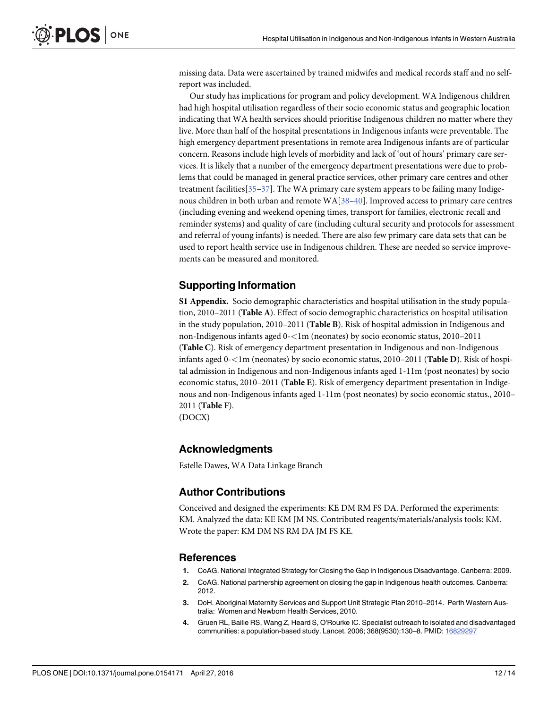<span id="page-13-0"></span>missing data. Data were ascertained by trained midwifes and medical records staff and no selfreport was included.

Our study has implications for program and policy development. WA Indigenous children had high hospital utilisation regardless of their socio economic status and geographic location indicating that WA health services should prioritise Indigenous children no matter where they live. More than half of the hospital presentations in Indigenous infants were preventable. The high emergency department presentations in remote area Indigenous infants are of particular concern. Reasons include high levels of morbidity and lack of 'out of hours' primary care services. It is likely that a number of the emergency department presentations were due to problems that could be managed in general practice services, other primary care centres and other treatment facilities[\[35](#page-15-0)–[37\]](#page-15-0). The WA primary care system appears to be failing many Indigenous children in both urban and remote  $WA[38–40]$  $WA[38–40]$  $WA[38–40]$  $WA[38–40]$  $WA[38–40]$ . Improved access to primary care centres (including evening and weekend opening times, transport for families, electronic recall and reminder systems) and quality of care (including cultural security and protocols for assessment and referral of young infants) is needed. There are also few primary care data sets that can be used to report health service use in Indigenous children. These are needed so service improvements can be measured and monitored.

### Supporting Information

[S1 Appendix.](http://www.plosone.org/article/fetchSingleRepresentation.action?uri=info:doi/10.1371/journal.pone.0154171.s001) Socio demographic characteristics and hospital utilisation in the study population, 2010–2011 (Table A). Effect of socio demographic characteristics on hospital utilisation in the study population, 2010–2011 (Table B). Risk of hospital admission in Indigenous and non-Indigenous infants aged 0-<1m (neonates) by socio economic status, 2010–2011 (Table C). Risk of emergency department presentation in Indigenous and non-Indigenous infants aged 0-<1m (neonates) by socio economic status, 2010–2011 (Table D). Risk of hospital admission in Indigenous and non-Indigenous infants aged 1-11m (post neonates) by socio economic status, 2010–2011 (Table E). Risk of emergency department presentation in Indigenous and non-Indigenous infants aged 1-11m (post neonates) by socio economic status., 2010– 2011 (Table F).

(DOCX)

#### Acknowledgments

Estelle Dawes, WA Data Linkage Branch

#### Author Contributions

Conceived and designed the experiments: KE DM RM FS DA. Performed the experiments: KM. Analyzed the data: KE KM JM NS. Contributed reagents/materials/analysis tools: KM. Wrote the paper: KM DM NS RM DA JM FS KE.

#### References

- [1.](#page-3-0) CoAG. National Integrated Strategy for Closing the Gap in Indigenous Disadvantage. Canberra: 2009.
- [2.](#page-3-0) CoAG. National partnership agreement on closing the gap in Indigenous health outcomes. Canberra: 2012.
- [3.](#page-3-0) DoH. Aboriginal Maternity Services and Support Unit Strategic Plan 2010–2014. Perth Western Australia: Women and Newborn Health Services, 2010.
- [4.](#page-3-0) Gruen RL, Bailie RS, Wang Z, Heard S, O'Rourke IC. Specialist outreach to isolated and disadvantaged communities: a population-based study. Lancet. 2006; 368(9530):130–8. PMID: [16829297](http://www.ncbi.nlm.nih.gov/pubmed/16829297)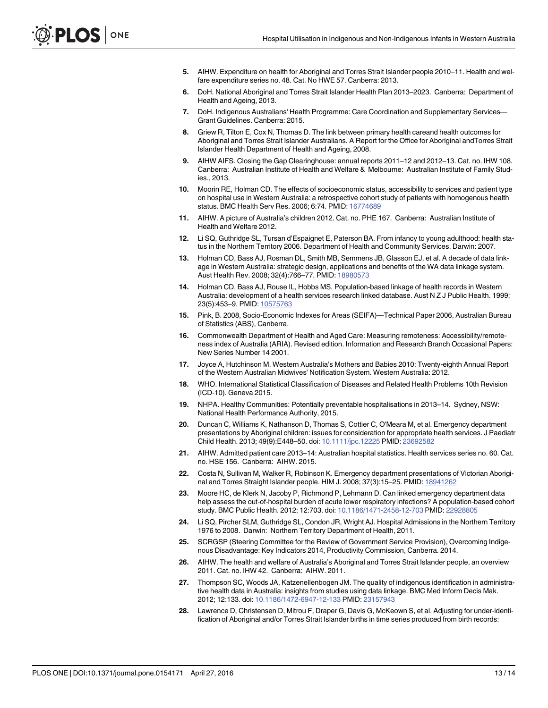- <span id="page-14-0"></span>[5.](#page-3-0) AIHW. Expenditure on health for Aboriginal and Torres Strait Islander people 2010–11. Health and welfare expenditure series no. 48. Cat. No HWE 57. Canberra: 2013.
- 6. DoH. National Aboriginal and Torres Strait Islander Health Plan 2013–2023. Canberra: Department of Health and Ageing, 2013.
- 7. DoH. Indigenous Australians' Health Programme: Care Coordination and Supplementary Services— Grant Guidelines. Canberra: 2015.
- [8.](#page-3-0) Griew R, Tilton E, Cox N, Thomas D. The link between primary health careand health outcomes for Aboriginal and Torres Strait Islander Australians. A Report for the Office for Aboriginal andTorres Strait Islander Health Department of Health and Ageing, 2008.
- [9.](#page-3-0) AIHW AIFS. Closing the Gap Clearinghouse: annual reports 2011–12 and 2012–13. Cat. no. IHW 108. Canberra: Australian Institute of Health and Welfare & Melbourne: Australian Institute of Family Studies., 2013.
- [10.](#page-3-0) Moorin RE, Holman CD. The effects of socioeconomic status, accessibility to services and patient type on hospital use in Western Australia: a retrospective cohort study of patients with homogenous health status. BMC Health Serv Res. 2006; 6:74. PMID: [16774689](http://www.ncbi.nlm.nih.gov/pubmed/16774689)
- [11.](#page-3-0) AIHW. A picture of Australia's children 2012. Cat. no. PHE 167. Canberra: Australian Institute of Health and Welfare 2012.
- [12.](#page-3-0) Li SQ, Guthridge SL, Tursan d'Espaignet E, Paterson BA. From infancy to young adulthood: health status in the Northern Territory 2006. Department of Health and Community Services. Darwin: 2007.
- [13.](#page-3-0) Holman CD, Bass AJ, Rosman DL, Smith MB, Semmens JB, Glasson EJ, et al. A decade of data linkage in Western Australia: strategic design, applications and benefits of the WA data linkage system. Aust Health Rev. 2008; 32(4):766–77. PMID: [18980573](http://www.ncbi.nlm.nih.gov/pubmed/18980573)
- [14.](#page-3-0) Holman CD, Bass AJ, Rouse IL, Hobbs MS. Population-based linkage of health records in Western Australia: development of a health services research linked database. Aust N Z J Public Health. 1999; 23(5):453–9. PMID: [10575763](http://www.ncbi.nlm.nih.gov/pubmed/10575763)
- [15.](#page-3-0) Pink, B. 2008, Socio-Economic Indexes for Areas (SEIFA)—Technical Paper 2006, Australian Bureau of Statistics (ABS), Canberra.
- [16.](#page-4-0) Commonwealth Department of Health and Aged Care: Measuring remoteness: Accessibility/remoteness index of Australia (ARIA). Revised edition. Information and Research Branch Occasional Papers: New Series Number 14 2001.
- [17.](#page-4-0) Joyce A, Hutchinson M. Western Australia's Mothers and Babies 2010: Twenty-eighth Annual Report of the Western Australian Midwives' Notification System. Western Australia: 2012.
- [18.](#page-4-0) WHO. International Statistical Classification of Diseases and Related Health Problems 10th Revision (ICD-10). Geneva 2015.
- [19.](#page-4-0) NHPA. Healthy Communities: Potentially preventable hospitalisations in 2013–14. Sydney, NSW: National Health Performance Authority, 2015.
- [20.](#page-4-0) Duncan C, Williams K, Nathanson D, Thomas S, Cottier C, O'Meara M, et al. Emergency department presentations by Aboriginal children: issues for consideration for appropriate health services. J Paediatr Child Health. 2013; 49(9):E448–50. doi: [10.1111/jpc.12225](http://dx.doi.org/10.1111/jpc.12225) PMID: [23692582](http://www.ncbi.nlm.nih.gov/pubmed/23692582)
- [21.](#page-4-0) AIHW. Admitted patient care 2013–14: Australian hospital statistics. Health services series no. 60. Cat. no. HSE 156. Canberra: AIHW. 2015.
- [22.](#page-11-0) Costa N, Sullivan M, Walker R, Robinson K. Emergency department presentations of Victorian Aboriginal and Torres Straight Islander people. HIM J. 2008; 37(3):15–25. PMID: [18941262](http://www.ncbi.nlm.nih.gov/pubmed/18941262)
- [23.](#page-11-0) Moore HC, de Klerk N, Jacoby P, Richmond P, Lehmann D. Can linked emergency department data help assess the out-of-hospital burden of acute lower respiratory infections? A population-based cohort study. BMC Public Health. 2012; 12:703. doi: [10.1186/1471-2458-12-703](http://dx.doi.org/10.1186/1471-2458-12-703) PMID: [22928805](http://www.ncbi.nlm.nih.gov/pubmed/22928805)
- [24.](#page-12-0) Li SQ, Pircher SLM, Guthridge SL, Condon JR, Wright AJ. Hospital Admissions in the Northern Territory 1976 to 2008. Darwin: Northern Territory Department of Health, 2011.
- [25.](#page-12-0) SCRGSP (Steering Committee for the Review of Government Service Provision), Overcoming Indigenous Disadvantage: Key Indicators 2014, Productivity Commission, Canberra. 2014.
- [26.](#page-12-0) AIHW. The health and welfare of Australia's Aboriginal and Torres Strait Islander people, an overview 2011. Cat. no. IHW 42. Canberra: AIHW. 2011.
- [27.](#page-12-0) Thompson SC, Woods JA, Katzenellenbogen JM. The quality of indigenous identification in administrative health data in Australia: insights from studies using data linkage. BMC Med Inform Decis Mak. 2012; 12:133. doi: [10.1186/1472-6947-12-133](http://dx.doi.org/10.1186/1472-6947-12-133) PMID: [23157943](http://www.ncbi.nlm.nih.gov/pubmed/23157943)
- [28.](#page-12-0) Lawrence D, Christensen D, Mitrou F, Draper G, Davis G, McKeown S, et al. Adjusting for under-identification of Aboriginal and/or Torres Strait Islander births in time series produced from birth records: